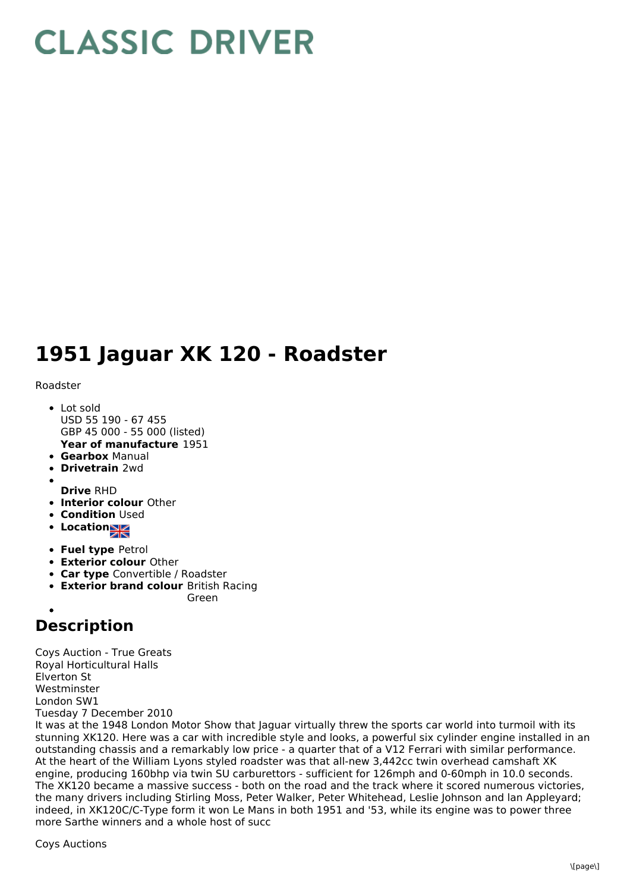## **CLASSIC DRIVER**

## **1951 Jaguar XK 120 - Roadster**

Roadster

- **Year of manufacture** 1951 • Lot sold USD 55 190 - 67 455 GBP 45 000 - 55 000 (listed)
- **Gearbox** Manual
- **Drivetrain** 2wd
- **Drive** RHD
- **Interior colour** Other
- **Condition Used**
- Location
- **Fuel type** Petrol
- **Exterior colour** Other
- **Car type** Convertible / Roadster
- **Exterior brand colour** British Racing
	- Green

## **Description**

Coys Auction - True Greats Royal Horticultural Halls Elverton St Westminster London SW1 Tuesday 7 December 2010

It was at the 1948 London Motor Show that Jaguar virtually threw the sports car world into turmoil with its stunning XK120. Here was a car with incredible style and looks, a powerful six cylinder engine installed in an outstanding chassis and a remarkably low price - a quarter that of a V12 Ferrari with similar performance. At the heart of the William Lyons styled roadster was that all-new 3,442cc twin overhead camshaft XK engine, producing 160bhp via twin SU carburettors - sufficient for 126mph and 0-60mph in 10.0 seconds. The XK120 became a massive success - both on the road and the track where it scored numerous victories, the many drivers including Stirling Moss, Peter Walker, Peter Whitehead, Leslie Johnson and lan Appleyard; indeed, in XK120C/C-Type form it won Le Mans in both 1951 and '53, while its engine was to power three more Sarthe winners and a whole host of succ

Coys Auctions